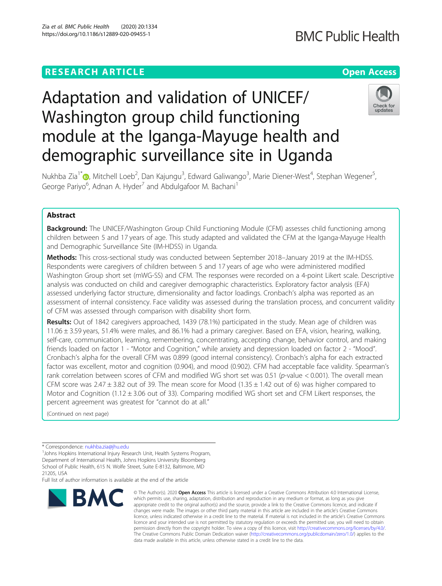# **RESEARCH ARTICLE Example 2014 12:30 The Contract of Contract ACCESS**

# Adaptation and validation of UNICEF/ Washington group child functioning module at the Iganga-Mayuge health and demographic surveillance site in Uganda

Nukhba Zia<sup>1[\\*](http://orcid.org/0000-0002-2521-6049)</sup> (@, Mitchell Loeb<sup>2</sup>, Dan Kajungu<sup>3</sup>, Edward Galiwango<sup>3</sup>, Marie Diener-West<sup>4</sup>, Stephan Wegener<sup>5</sup> George Pariyo<sup>6</sup>, Adnan A. Hyder<sup>7</sup> and Abdulgafoor M. Bachani<sup>1</sup>

# Abstract

**Background:** The UNICEF/Washington Group Child Functioning Module (CFM) assesses child functioning among children between 5 and 17 years of age. This study adapted and validated the CFM at the Iganga-Mayuge Health and Demographic Surveillance Site (IM-HDSS) in Uganda.

Methods: This cross-sectional study was conducted between September 2018–January 2019 at the IM-HDSS. Respondents were caregivers of children between 5 and 17 years of age who were administered modified Washington Group short set (mWG-SS) and CFM. The responses were recorded on a 4-point Likert scale. Descriptive analysis was conducted on child and caregiver demographic characteristics. Exploratory factor analysis (EFA) assessed underlying factor structure, dimensionality and factor loadings. Cronbach's alpha was reported as an assessment of internal consistency. Face validity was assessed during the translation process, and concurrent validity of CFM was assessed through comparison with disability short form.

Results: Out of 1842 caregivers approached, 1439 (78.1%) participated in the study. Mean age of children was 11.06 ± 3.59 years, 51.4% were males, and 86.1% had a primary caregiver. Based on EFA, vision, hearing, walking, self-care, communication, learning, remembering, concentrating, accepting change, behavior control, and making friends loaded on factor 1 - "Motor and Cognition," while anxiety and depression loaded on factor 2 - "Mood". Cronbach's alpha for the overall CFM was 0.899 (good internal consistency). Cronbach's alpha for each extracted factor was excellent, motor and cognition (0.904), and mood (0.902). CFM had acceptable face validity. Spearman's rank correlation between scores of CFM and modified WG short set was 0.51 (p-value < 0.001). The overall mean CFM score was  $2.47 \pm 3.82$  out of 39. The mean score for Mood (1.35  $\pm$  1.42 out of 6) was higher compared to Motor and Cognition (1.12 ± 3.06 out of 33). Comparing modified WG short set and CFM Likert responses, the percent agreement was greatest for "cannot do at all."

(Continued on next page)

<sup>1</sup> Johns Hopkins International Injury Research Unit, Health Systems Program, Department of International Health, Johns Hopkins University Bloomberg School of Public Health, 615 N. Wolfe Street, Suite E-8132, Baltimore, MD 21205, USA

Full list of author information is available at the end of the article



<sup>©</sup> The Author(s), 2020 **Open Access** This article is licensed under a Creative Commons Attribution 4.0 International License, which permits use, sharing, adaptation, distribution and reproduction in any medium or format, as long as you give appropriate credit to the original author(s) and the source, provide a link to the Creative Commons licence, and indicate if changes were made. The images or other third party material in this article are included in the article's Creative Commons licence, unless indicated otherwise in a credit line to the material. If material is not included in the article's Creative Commons licence and your intended use is not permitted by statutory regulation or exceeds the permitted use, you will need to obtain permission directly from the copyright holder. To view a copy of this licence, visit [http://creativecommons.org/licenses/by/4.0/.](http://creativecommons.org/licenses/by/4.0/) The Creative Commons Public Domain Dedication waiver [\(http://creativecommons.org/publicdomain/zero/1.0/](http://creativecommons.org/publicdomain/zero/1.0/)) applies to the data made available in this article, unless otherwise stated in a credit line to the data.



,



<sup>\*</sup> Correspondence: [nukhba.zia@jhu.edu](mailto:nukhba.zia@jhu.edu) <sup>1</sup>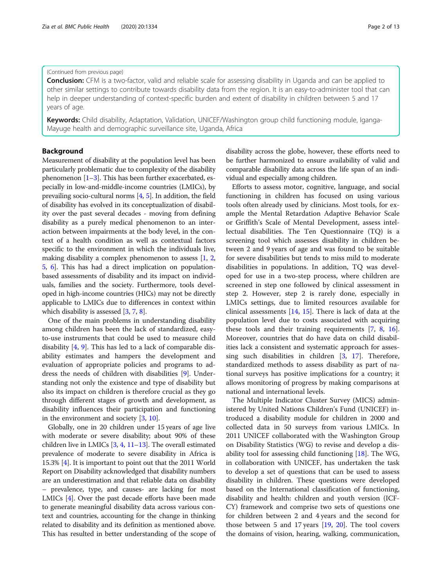#### (Continued from previous page)

**Conclusion:** CFM is a two-factor, valid and reliable scale for assessing disability in Uganda and can be applied to other similar settings to contribute towards disability data from the region. It is an easy-to-administer tool that can help in deeper understanding of context-specific burden and extent of disability in children between 5 and 17 years of age.

Keywords: Child disability, Adaptation, Validation, UNICEF/Washington group child functioning module, Iganga-Mayuge health and demographic surveillance site, Uganda, Africa

### Background

Measurement of disability at the population level has been particularly problematic due to complexity of the disability phenomenon  $[1-3]$  $[1-3]$  $[1-3]$ . This has been further exacerbated, especially in low-and-middle-income countries (LMICs), by prevailing socio-cultural norms [\[4](#page-11-0), [5\]](#page-11-0). In addition, the field of disability has evolved in its conceptualization of disability over the past several decades - moving from defining disability as a purely medical phenomenon to an interaction between impairments at the body level, in the context of a health condition as well as contextual factors specific to the environment in which the individuals live, making disability a complex phenomenon to assess [\[1,](#page-11-0) [2](#page-11-0), [5,](#page-11-0) [6](#page-11-0)]. This has had a direct implication on populationbased assessments of disability and its impact on individuals, families and the society. Furthermore, tools developed in high-income countries (HICs) may not be directly applicable to LMICs due to differences in context within which disability is assessed [[3,](#page-11-0) [7](#page-11-0), [8\]](#page-11-0).

One of the main problems in understanding disability among children has been the lack of standardized, easyto-use instruments that could be used to measure child disability [\[4](#page-11-0), [9](#page-11-0)]. This has led to a lack of comparable disability estimates and hampers the development and evaluation of appropriate policies and programs to address the needs of children with disabilities [[9\]](#page-11-0). Understanding not only the existence and type of disability but also its impact on children is therefore crucial as they go through different stages of growth and development, as disability influences their participation and functioning in the environment and society [[3](#page-11-0), [10](#page-11-0)].

Globally, one in 20 children under 15 years of age live with moderate or severe disability; about 90% of these children live in LMICs [\[3](#page-11-0), [4,](#page-11-0) [11](#page-11-0)–[13](#page-11-0)]. The overall estimated prevalence of moderate to severe disability in Africa is 15.3% [[4](#page-11-0)]. It is important to point out that the 2011 World Report on Disability acknowledged that disability numbers are an underestimation and that reliable data on disability – prevalence, type, and causes- are lacking for most LMICs [\[4](#page-11-0)]. Over the past decade efforts have been made to generate meaningful disability data across various context and countries, accounting for the change in thinking related to disability and its definition as mentioned above. This has resulted in better understanding of the scope of

disability across the globe, however, these efforts need to be further harmonized to ensure availability of valid and comparable disability data across the life span of an individual and especially among children.

Efforts to assess motor, cognitive, language, and social functioning in children has focused on using various tools often already used by clinicians. Most tools, for example the Mental Retardation Adaptive Behavior Scale or Griffith's Scale of Mental Development, assess intellectual disabilities. The Ten Questionnaire (TQ) is a screening tool which assesses disability in children between 2 and 9 years of age and was found to be suitable for severe disabilities but tends to miss mild to moderate disabilities in populations. In addition, TQ was developed for use in a two-step process, where children are screened in step one followed by clinical assessment in step 2. However, step 2 is rarely done, especially in LMICs settings, due to limited resources available for clinical assessments [\[14](#page-11-0), [15](#page-11-0)]. There is lack of data at the population level due to costs associated with acquiring these tools and their training requirements [\[7](#page-11-0), [8](#page-11-0), [16](#page-11-0)]. Moreover, countries that do have data on child disabilities lack a consistent and systematic approach for assessing such disabilities in children [[3](#page-11-0), [17](#page-11-0)]. Therefore, standardized methods to assess disability as part of national surveys has positive implications for a country; it allows monitoring of progress by making comparisons at national and international levels.

The Multiple Indicator Cluster Survey (MICS) administered by United Nations Children's Fund (UNICEF) introduced a disability module for children in 2000 and collected data in 50 surveys from various LMICs. In 2011 UNICEF collaborated with the Washington Group on Disability Statistics (WG) to revise and develop a disability tool for assessing child functioning [[18\]](#page-11-0). The WG, in collaboration with UNICEF, has undertaken the task to develop a set of questions that can be used to assess disability in children. These questions were developed based on the International classification of functioning, disability and health: children and youth version (ICF-CY) framework and comprise two sets of questions one for children between 2 and 4 years and the second for those between 5 and 17 years [[19,](#page-11-0) [20\]](#page-11-0). The tool covers the domains of vision, hearing, walking, communication,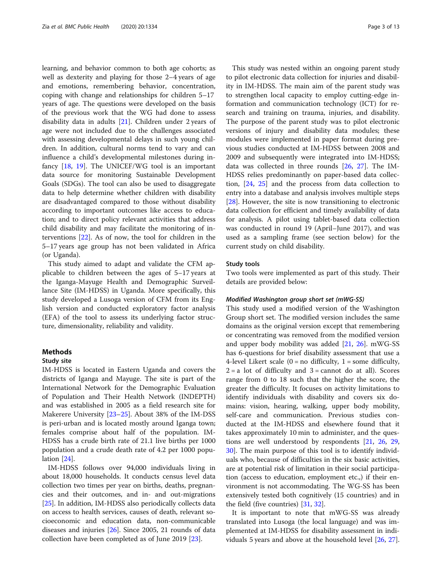learning, and behavior common to both age cohorts; as well as dexterity and playing for those 2–4 years of age and emotions, remembering behavior, concentration, coping with change and relationships for children 5–17 years of age. The questions were developed on the basis of the previous work that the WG had done to assess disability data in adults [[21\]](#page-11-0). Children under 2 years of age were not included due to the challenges associated with assessing developmental delays in such young children. In addition, cultural norms tend to vary and can influence a child's developmental milestones during infancy [[18,](#page-11-0) [19](#page-11-0)]. The UNICEF/WG tool is an important data source for monitoring Sustainable Development Goals (SDGs). The tool can also be used to disaggregate data to help determine whether children with disability are disadvantaged compared to those without disability according to important outcomes like access to education; and to direct policy relevant activities that address child disability and may facilitate the monitoring of interventions [\[22\]](#page-11-0). As of now, the tool for children in the 5–17 years age group has not been validated in Africa (or Uganda).

This study aimed to adapt and validate the CFM applicable to children between the ages of 5–17 years at the Iganga-Mayuge Health and Demographic Surveillance Site (IM-HDSS) in Uganda. More specifically, this study developed a Lusoga version of CFM from its English version and conducted exploratory factor analysis (EFA) of the tool to assess its underlying factor structure, dimensionality, reliability and validity.

# Methods

# Study site

IM-HDSS is located in Eastern Uganda and covers the districts of Iganga and Mayuge. The site is part of the International Network for the Demographic Evaluation of Population and Their Health Network (INDEPTH) and was established in 2005 as a field research site for Makerere University [[23](#page-11-0)–[25\]](#page-11-0). About 38% of the IM-DSS is peri-urban and is located mostly around Iganga town; females comprise about half of the population. IM-HDSS has a crude birth rate of 21.1 live births per 1000 population and a crude death rate of 4.2 per 1000 population [[24\]](#page-11-0).

IM-HDSS follows over 94,000 individuals living in about 18,000 households. It conducts census level data collection two times per year on births, deaths, pregnancies and their outcomes, and in- and out-migrations [[25\]](#page-11-0). In addition, IM-HDSS also periodically collects data on access to health services, causes of death, relevant socioeconomic and education data, non-communicable diseases and injuries [[26](#page-11-0)]. Since 2005, 21 rounds of data collection have been completed as of June 2019 [[23](#page-11-0)].

This study was nested within an ongoing parent study to pilot electronic data collection for injuries and disability in IM-HDSS. The main aim of the parent study was to strengthen local capacity to employ cutting-edge information and communication technology (ICT) for research and training on trauma, injuries, and disability. The purpose of the parent study was to pilot electronic versions of injury and disability data modules; these modules were implemented in paper format during previous studies conducted at IM-HDSS between 2008 and 2009 and subsequently were integrated into IM-HDSS; data was collected in three rounds [\[26,](#page-11-0) [27\]](#page-12-0). The IM-HDSS relies predominantly on paper-based data collection, [\[24](#page-11-0), [25\]](#page-11-0) and the process from data collection to entry into a database and analysis involves multiple steps [[28\]](#page-12-0). However, the site is now transitioning to electronic data collection for efficient and timely availability of data for analysis. A pilot using tablet-based data collection was conducted in round 19 (April–June 2017), and was used as a sampling frame (see section below) for the current study on child disability.

# Study tools

Two tools were implemented as part of this study. Their details are provided below:

#### Modified Washington group short set (mWG-SS)

This study used a modified version of the Washington Group short set. The modified version includes the same domains as the original version except that remembering or concentrating was removed from the modified version and upper body mobility was added [\[21](#page-11-0), [26](#page-11-0)]. mWG-SS has 6-questions for brief disability assessment that use a 4-level Likert scale  $(0 = no$  difficulty,  $1 = some$  difficulty,  $2 = a$  lot of difficulty and  $3 =$  cannot do at all). Scores range from 0 to 18 such that the higher the score, the greater the difficulty. It focuses on activity limitations to identify individuals with disability and covers six domains: vision, hearing, walking, upper body mobility, self-care and communication. Previous studies conducted at the IM-HDSS and elsewhere found that it takes approximately 10 min to administer, and the questions are well understood by respondents [[21](#page-11-0), [26](#page-11-0), [29](#page-12-0), [30\]](#page-12-0). The main purpose of this tool is to identify individuals who, because of difficulties in the six basic activities, are at potential risk of limitation in their social participation (access to education, employment etc.,) if their environment is not accommodating. The WG-SS has been extensively tested both cognitively (15 countries) and in the field (five countries) [[31](#page-12-0), [32](#page-12-0)].

It is important to note that mWG-SS was already translated into Lusoga (the local language) and was implemented at IM-HDSS for disability assessment in individuals 5 years and above at the household level [\[26](#page-11-0), [27](#page-12-0)].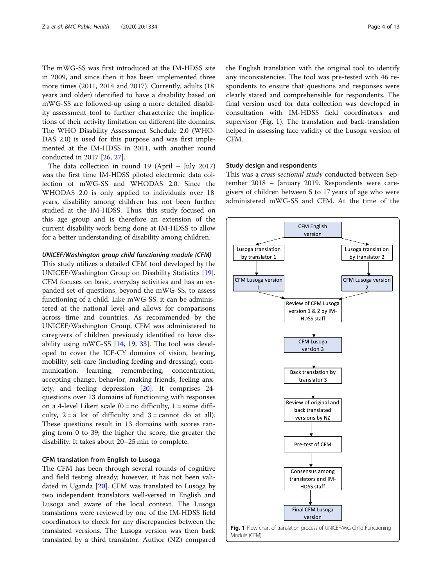The mWG-SS was first introduced at the IM-HDSS site in 2009, and since then it has been implemented three more times (2011, 2014 and 2017). Currently, adults (18 years and older) identified to have a disability based on mWG-SS are followed-up using a more detailed disability assessment tool to further characterize the implications of their activity limitation on different life domains. The WHO Disability Assessment Schedule 2.0 (WHO-DAS 2.0) is used for this purpose and was first implemented at the IM-HDSS in 2011, with another round conducted in 2017 [[26,](#page-11-0) [27\]](#page-12-0).

The data collection in round 19 (April – July 2017) was the first time IM-HDSS piloted electronic data collection of mWG-SS and WHODAS 2.0. Since the WHODAS 2.0 is only applied to individuals over 18 years, disability among children has not been further studied at the IM-HDSS. Thus, this study focused on this age group and is therefore an extension of the current disability work being done at IM-HDSS to allow for a better understanding of disability among children.

#### UNICEF/Washington group child functioning module (CFM)

This study utilizes a detailed CFM tool developed by the UNICEF/Washington Group on Disability Statistics [\[19](#page-11-0)]. CFM focuses on basic, everyday activities and has an expanded set of questions, beyond the mWG-SS, to assess functioning of a child. Like mWG-SS, it can be administered at the national level and allows for comparisons across time and countries. As recommended by the UNICEF/Washington Group, CFM was administered to caregivers of children previously identified to have disability using mWG-SS [[14,](#page-11-0) [19](#page-11-0), [33](#page-12-0)]. The tool was developed to cover the ICF-CY domains of vision, hearing, mobility, self-care (including feeding and dressing), communication, learning, remembering, concentration, accepting change, behavior, making friends, feeling anxiety, and feeling depression [\[20\]](#page-11-0). It comprises 24 questions over 13 domains of functioning with responses on a 4-level Likert scale  $(0 = no \text{ difficulty}, 1 = some \text{ diffi-}$ culty,  $2 = a$  lot of difficulty and  $3 =$  cannot do at all). These questions result in 13 domains with scores ranging from 0 to 39; the higher the score, the greater the disability. It takes about 20–25 min to complete.

# CFM translation from English to Lusoga

The CFM has been through several rounds of cognitive and field testing already; however, it has not been validated in Uganda [[20\]](#page-11-0). CFM was translated to Lusoga by two independent translators well-versed in English and Lusoga and aware of the local context. The Lusoga translations were reviewed by one of the IM-HDSS field coordinators to check for any discrepancies between the translated versions. The Lusoga version was then back translated by a third translator. Author (NZ) compared

the English translation with the original tool to identify any inconsistencies. The tool was pre-tested with 46 respondents to ensure that questions and responses were clearly stated and comprehensible for respondents. The final version used for data collection was developed in consultation with IM-HDSS field coordinators and supervisor (Fig. 1). The translation and back-translation helped in assessing face validity of the Lusoga version of CFM.

# Study design and respondents

This was a *cross-sectional study* conducted between September 2018 – January 2019. Respondents were caregivers of children between 5 to 17 years of age who were administered mWG-SS and CFM. At the time of the

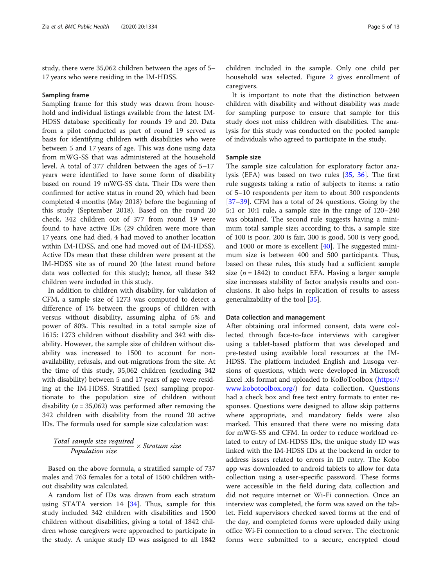study, there were 35,062 children between the ages of 5– 17 years who were residing in the IM-HDSS.

#### Sampling frame

Sampling frame for this study was drawn from household and individual listings available from the latest IM-HDSS database specifically for rounds 19 and 20. Data from a pilot conducted as part of round 19 served as basis for identifying children with disabilities who were between 5 and 17 years of age. This was done using data from mWG-SS that was administered at the household level. A total of 377 children between the ages of 5–17 years were identified to have some form of disability based on round 19 mWG-SS data. Their IDs were then confirmed for active status in round 20, which had been completed 4 months (May 2018) before the beginning of this study (September 2018). Based on the round 20 check, 342 children out of 377 from round 19 were found to have active IDs (29 children were more than 17 years, one had died, 4 had moved to another location within IM-HDSS, and one had moved out of IM-HDSS). Active IDs mean that these children were present at the IM-HDSS site as of round 20 (the latest round before data was collected for this study); hence, all these 342 children were included in this study.

In addition to children with disability, for validation of CFM, a sample size of 1273 was computed to detect a difference of 1% between the groups of children with versus without disability, assuming alpha of 5% and power of 80%. This resulted in a total sample size of 1615: 1273 children without disability and 342 with disability. However, the sample size of children without disability was increased to 1500 to account for nonavailability, refusals, and out-migrations from the site. At the time of this study, 35,062 children (excluding 342 with disability) between 5 and 17 years of age were residing at the IM-HDSS. Stratified (sex) sampling proportionate to the population size of children without disability ( $n = 35,062$ ) was performed after removing the 342 children with disability from the round 20 active IDs. The formula used for sample size calculation was:

 $\frac{Total}{}$  sample size required  $\times$  Stratum size

Based on the above formula, a stratified sample of 737 males and 763 females for a total of 1500 children without disability was calculated.

A random list of IDs was drawn from each stratum using STATA version 14 [\[34\]](#page-12-0). Thus, sample for this study included 342 children with disabilities and 1500 children without disabilities, giving a total of 1842 children whose caregivers were approached to participate in the study. A unique study ID was assigned to all 1842

children included in the sample. Only one child per household was selected. Figure [2](#page-5-0) gives enrollment of caregivers.

It is important to note that the distinction between children with disability and without disability was made for sampling purpose to ensure that sample for this study does not miss children with disabilities. The analysis for this study was conducted on the pooled sample of individuals who agreed to participate in the study.

#### Sample size

The sample size calculation for exploratory factor analysis (EFA) was based on two rules [\[35,](#page-12-0) [36\]](#page-12-0). The first rule suggests taking a ratio of subjects to items: a ratio of 5–10 respondents per item to about 300 respondents [[37](#page-12-0)–[39](#page-12-0)]. CFM has a total of 24 questions. Going by the 5:1 or 10:1 rule, a sample size in the range of 120–240 was obtained. The second rule suggests having a minimum total sample size; according to this, a sample size of 100 is poor, 200 is fair, 300 is good, 500 is very good, and 1000 or more is excellent [\[40](#page-12-0)]. The suggested minimum size is between 400 and 500 participants. Thus, based on these rules, this study had a sufficient sample size ( $n = 1842$ ) to conduct EFA. Having a larger sample size increases stability of factor analysis results and conclusions. It also helps in replication of results to assess generalizability of the tool [[35](#page-12-0)].

# Data collection and management

After obtaining oral informed consent, data were collected through face-to-face interviews with caregiver using a tablet-based platform that was developed and pre-tested using available local resources at the IM-HDSS. The platform included English and Lusoga versions of questions, which were developed in Microsoft Excel .xls format and uploaded to KoBoToolbox ([https://](https://www.kobotoolbox.org/) [www.kobotoolbox.org/\)](https://www.kobotoolbox.org/) for data collection. Questions had a check box and free text entry formats to enter responses. Questions were designed to allow skip patterns where appropriate, and mandatory fields were also marked. This ensured that there were no missing data for mWG-SS and CFM. In order to reduce workload related to entry of IM-HDSS IDs, the unique study ID was linked with the IM-HDSS IDs at the backend in order to address issues related to errors in ID entry. The Kobo app was downloaded to android tablets to allow for data collection using a user-specific password. These forms were accessible in the field during data collection and did not require internet or Wi-Fi connection. Once an interview was completed, the form was saved on the tablet. Field supervisors checked saved forms at the end of the day, and completed forms were uploaded daily using office Wi-Fi connection to a cloud server. The electronic forms were submitted to a secure, encrypted cloud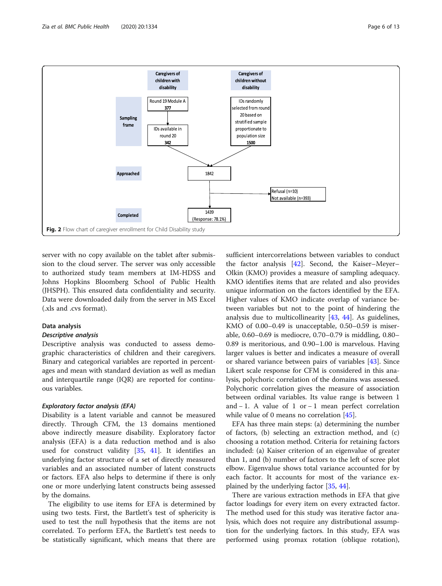<span id="page-5-0"></span>

server with no copy available on the tablet after submission to the cloud server. The server was only accessible to authorized study team members at IM-HDSS and Johns Hopkins Bloomberg School of Public Health (JHSPH). This ensured data confidentiality and security. Data were downloaded daily from the server in MS Excel (.xls and .cvs format).

#### Data analysis

# Descriptive analysis

Descriptive analysis was conducted to assess demographic characteristics of children and their caregivers. Binary and categorical variables are reported in percentages and mean with standard deviation as well as median and interquartile range (IQR) are reported for continuous variables.

#### Exploratory factor analysis (EFA)

Disability is a latent variable and cannot be measured directly. Through CFM, the 13 domains mentioned above indirectly measure disability. Exploratory factor analysis (EFA) is a data reduction method and is also used for construct validity [\[35,](#page-12-0) [41](#page-12-0)]. It identifies an underlying factor structure of a set of directly measured variables and an associated number of latent constructs or factors. EFA also helps to determine if there is only one or more underlying latent constructs being assessed by the domains.

The eligibility to use items for EFA is determined by using two tests. First, the Bartlett's test of sphericity is used to test the null hypothesis that the items are not correlated. To perform EFA, the Bartlett's test needs to be statistically significant, which means that there are

sufficient intercorrelations between variables to conduct the factor analysis [[42](#page-12-0)]. Second, the Kaiser–Meyer– Olkin (KMO) provides a measure of sampling adequacy. KMO identifies items that are related and also provides unique information on the factors identified by the EFA. Higher values of KMO indicate overlap of variance between variables but not to the point of hindering the analysis due to multicollinearity  $[43, 44]$  $[43, 44]$  $[43, 44]$  $[43, 44]$  $[43, 44]$ . As guidelines, KMO of 0.00–0.49 is unacceptable, 0.50–0.59 is miserable, 0.60–0.69 is mediocre, 0.70–0.79 is middling, 0.80– 0.89 is meritorious, and 0.90–1.00 is marvelous. Having larger values is better and indicates a measure of overall or shared variance between pairs of variables [\[43](#page-12-0)]. Since Likert scale response for CFM is considered in this analysis, polychoric correlation of the domains was assessed. Polychoric correlation gives the measure of association between ordinal variables. Its value range is between 1 and − 1. A value of 1 or − 1 mean perfect correlation while value of 0 means no correlation [\[45](#page-12-0)].

EFA has three main steps: (a) determining the number of factors, (b) selecting an extraction method, and (c) choosing a rotation method. Criteria for retaining factors included: (a) Kaiser criterion of an eigenvalue of greater than 1, and (b) number of factors to the left of scree plot elbow. Eigenvalue shows total variance accounted for by each factor. It accounts for most of the variance explained by the underlying factor [\[35,](#page-12-0) [44\]](#page-12-0).

There are various extraction methods in EFA that give factor loadings for every item on every extracted factor. The method used for this study was iterative factor analysis, which does not require any distributional assumption for the underlying factors. In this study, EFA was performed using promax rotation (oblique rotation),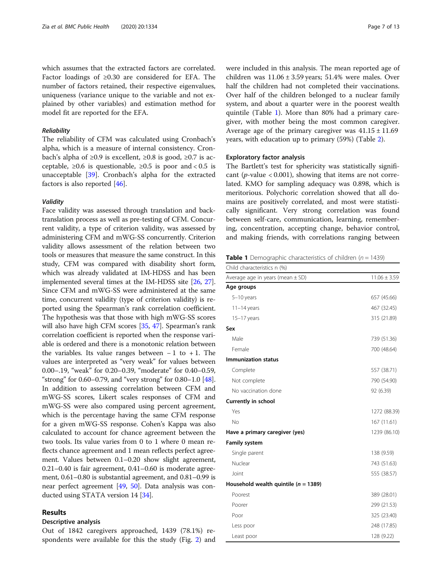which assumes that the extracted factors are correlated. Factor loadings of ≥0.30 are considered for EFA. The number of factors retained, their respective eigenvalues, uniqueness (variance unique to the variable and not explained by other variables) and estimation method for model fit are reported for the EFA.

## Reliability

The reliability of CFM was calculated using Cronbach's alpha, which is a measure of internal consistency. Cronbach's alpha of ≥0.9 is excellent, ≥0.8 is good, ≥0.7 is acceptable,  $\geq 0.6$  is questionable,  $\geq 0.5$  is poor and < 0.5 is unacceptable [\[39](#page-12-0)]. Cronbach's alpha for the extracted factors is also reported [\[46\]](#page-12-0).

#### Validity

Face validity was assessed through translation and backtranslation process as well as pre-testing of CFM. Concurrent validity, a type of criterion validity, was assessed by administering CFM and mWG-SS concurrently. Criterion validity allows assessment of the relation between two tools or measures that measure the same construct. In this study, CFM was compared with disability short form, which was already validated at IM-HDSS and has been implemented several times at the IM-HDSS site [\[26,](#page-11-0) [27](#page-12-0)]. Since CFM and mWG-SS were administered at the same time, concurrent validity (type of criterion validity) is reported using the Spearman's rank correlation coefficient. The hypothesis was that those with high mWG-SS scores will also have high CFM scores [\[35](#page-12-0), [47](#page-12-0)]. Spearman's rank correlation coefficient is reported when the response variable is ordered and there is a monotonic relation between the variables. Its value ranges between  $-1$  to  $+1$ . The values are interpreted as "very weak" for values between 0.00–.19, "weak" for 0.20–0.39, "moderate" for 0.40–0.59, "strong" for 0.60–0.79, and "very strong" for 0.80–1.0 [[48](#page-12-0)]. In addition to assessing correlation between CFM and mWG-SS scores, Likert scales responses of CFM and mWG-SS were also compared using percent agreement, which is the percentage having the same CFM response for a given mWG-SS response. Cohen's Kappa was also calculated to account for chance agreement between the two tools. Its value varies from 0 to 1 where 0 mean reflects chance agreement and 1 mean reflects perfect agreement. Values between 0.1–0.20 show slight agreement, 0.21–0.40 is fair agreement, 0.41–0.60 is moderate agreement, 0.61–0.80 is substantial agreement, and 0.81–0.99 is near perfect agreement [[49,](#page-12-0) [50\]](#page-12-0). Data analysis was conducted using STATA version 14 [[34](#page-12-0)].

# Results

# Descriptive analysis

Out of 1842 caregivers approached, 1439 (78.1%) respondents were available for this the study (Fig. [2](#page-5-0)) and were included in this analysis. The mean reported age of children was  $11.06 \pm 3.59$  years; 51.4% were males. Over half the children had not completed their vaccinations. Over half of the children belonged to a nuclear family system, and about a quarter were in the poorest wealth quintile (Table 1). More than 80% had a primary caregiver, with mother being the most common caregiver. Average age of the primary caregiver was  $41.15 \pm 11.69$ years, with education up to primary (59%) (Table [2\)](#page-7-0).

## Exploratory factor analysis

The Bartlett's test for sphericity was statistically significant (*p*-value  $< 0.001$ ), showing that items are not correlated. KMO for sampling adequacy was 0.898, which is meritorious. Polychoric correlation showed that all domains are positively correlated, and most were statistically significant. Very strong correlation was found between self-care, communication, learning, remembering, concentration, accepting change, behavior control, and making friends, with correlations ranging between

**Table 1** Demographic characteristics of children ( $n = 1439$ )

| Child characteristics n (%)              |                  |
|------------------------------------------|------------------|
| Average age in years (mean $\pm$ SD)     | $11.06 \pm 3.59$ |
| Age groups                               |                  |
| $5-10$ years                             | 657 (45.66)      |
| $11-14$ years                            | 467 (32.45)      |
| $15-17$ years                            | 315 (21.89)      |
| Sex                                      |                  |
| Male                                     | 739 (51.36)      |
| Female                                   | 700 (48.64)      |
| <b>Immunization status</b>               |                  |
| Complete                                 | 557 (38.71)      |
| Not complete                             | 790 (54.90)      |
| No vaccination done                      | 92 (6.39)        |
| Currently in school                      |                  |
| Yes                                      | 1272 (88.39)     |
| No                                       | 167(11.61)       |
| Have a primary caregiver (yes)           | 1239 (86.10)     |
| Family system                            |                  |
| Single parent                            | 138 (9.59)       |
| Nuclear                                  | 743 (51.63)      |
| Joint                                    | 555 (38.57)      |
| Household wealth quintile ( $n = 1389$ ) |                  |
| Poorest                                  | 389 (28.01)      |
| Poorer                                   | 299 (21.53)      |
| Poor                                     | 325 (23.40)      |
| Less poor                                | 248 (17.85)      |
| Least poor                               | 128 (9.22)       |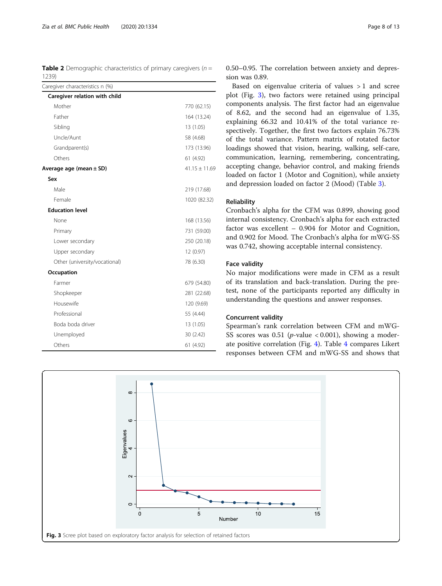<span id="page-7-0"></span>**Table 2** Demographic characteristics of primary caregivers ( $n =$ 1239)

| Caregiver characteristics n (%) |                   |
|---------------------------------|-------------------|
| Caregiver relation with child   |                   |
| Mother                          | 770 (62.15)       |
| Father                          | 164 (13.24)       |
| Sibling                         | 13 (1.05)         |
| Uncle/Aunt                      | 58 (4.68)         |
| Grandparent(s)                  | 173 (13.96)       |
| Others                          | 61 (4.92)         |
| Average age (mean $\pm$ SD)     | $41.15 \pm 11.69$ |
| Sex                             |                   |
| Male                            | 219 (17.68)       |
| Female                          | 1020 (82.32)      |
| <b>Education level</b>          |                   |
| None                            | 168 (13.56)       |
| Primary                         | 731 (59.00)       |
| Lower secondary                 | 250 (20.18)       |
| Upper secondary                 | 12 (0.97)         |
| Other (university/vocational)   | 78 (6.30)         |
| Occupation                      |                   |
| Farmer                          | 679 (54.80)       |
| Shopkeeper                      | 281 (22.68)       |
| Housewife                       | 120 (9.69)        |
| Professional                    | 55 (4.44)         |
| Boda boda driver                | 13 (1.05)         |
| Unemployed                      | 30 (2.42)         |
| Others                          | 61 (4.92)         |

0.50–0.95. The correlation between anxiety and depression was 0.89.

Based on eigenvalue criteria of values > 1 and scree plot (Fig. 3), two factors were retained using principal components analysis. The first factor had an eigenvalue of 8.62, and the second had an eigenvalue of 1.35, explaining 66.32 and 10.41% of the total variance respectively. Together, the first two factors explain 76.73% of the total variance. Pattern matrix of rotated factor loadings showed that vision, hearing, walking, self-care, communication, learning, remembering, concentrating, accepting change, behavior control, and making friends loaded on factor 1 (Motor and Cognition), while anxiety and depression loaded on factor 2 (Mood) (Table [3\)](#page-8-0).

#### Reliability

Cronbach's alpha for the CFM was 0.899, showing good internal consistency. Cronbach's alpha for each extracted factor was excellent – 0.904 for Motor and Cognition, and 0.902 for Mood. The Cronbach's alpha for mWG-SS was 0.742, showing acceptable internal consistency.

#### Face validity

No major modifications were made in CFM as a result of its translation and back-translation. During the pretest, none of the participants reported any difficulty in understanding the questions and answer responses.

# Concurrent validity

Spearman's rank correlation between CFM and mWG-SS scores was 0.51 (*p*-value < 0.001), showing a moderate positive correlation (Fig. [4](#page-8-0)). Table [4](#page-9-0) compares Likert responses between CFM and mWG-SS and shows that

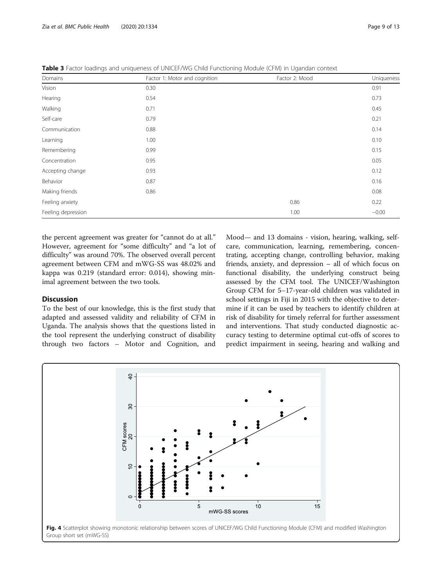| Domains            | Factor 1: Motor and cognition | Factor 2: Mood |         |
|--------------------|-------------------------------|----------------|---------|
| Vision             | 0.30                          |                | 0.91    |
| Hearing            | 0.54                          |                | 0.73    |
| Walking            | 0.71                          |                | 0.45    |
| Self-care          | 0.79                          |                | 0.21    |
| Communication      | 0.88                          |                | 0.14    |
| Learning           | 1.00                          |                | 0.10    |
| Remembering        | 0.99                          |                | 0.15    |
| Concentration      | 0.95                          |                | 0.05    |
| Accepting change   | 0.93                          |                | 0.12    |
| Behavior           | 0.87                          |                | 0.16    |
| Making friends     | 0.86                          |                | 0.08    |
| Feeling anxiety    |                               | 0.86           | 0.22    |
| Feeling depression |                               | 1.00           | $-0.00$ |

<span id="page-8-0"></span>Table 3 Factor loadings and uniqueness of UNICEF/WG Child Functioning Module (CFM) in Ugandan context

the percent agreement was greater for "cannot do at all." However, agreement for "some difficulty" and "a lot of difficulty" was around 70%. The observed overall percent agreement between CFM and mWG-SS was 48.02% and kappa was 0.219 (standard error: 0.014), showing minimal agreement between the two tools.

# **Discussion**

To the best of our knowledge, this is the first study that adapted and assessed validity and reliability of CFM in Uganda. The analysis shows that the questions listed in the tool represent the underlying construct of disability through two factors – Motor and Cognition, and Mood— and 13 domains - vision, hearing, walking, selfcare, communication, learning, remembering, concentrating, accepting change, controlling behavior, making friends, anxiety, and depression – all of which focus on functional disability, the underlying construct being assessed by the CFM tool. The UNICEF/Washington Group CFM for 5–17-year-old children was validated in school settings in Fiji in 2015 with the objective to determine if it can be used by teachers to identify children at risk of disability for timely referral for further assessment and interventions. That study conducted diagnostic accuracy testing to determine optimal cut-offs of scores to predict impairment in seeing, hearing and walking and

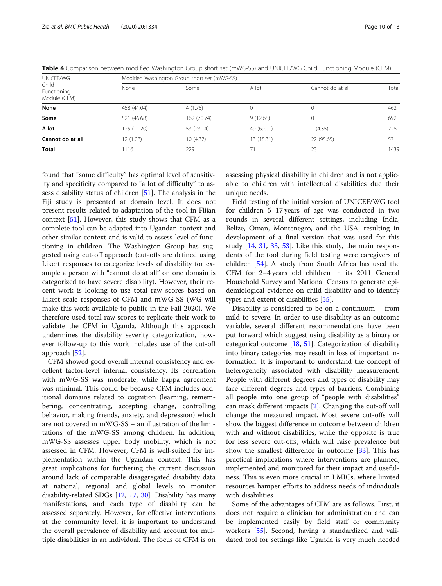| UNICEF/WG<br>Child<br>Functioning<br>Module (CFM) | Modified Washington Group short set (mWG-SS) |             |              |                  |       |
|---------------------------------------------------|----------------------------------------------|-------------|--------------|------------------|-------|
|                                                   | None                                         | Some        | A lot        | Cannot do at all | Total |
| None                                              | 458 (41.04)                                  | 4(1.75)     | $\mathbf{0}$ | 0                | 462   |
| Some                                              | 521 (46.68)                                  | 162 (70.74) | 9(12.68)     | 0                | 692   |
| A lot                                             | 125 (11.20)                                  | 53 (23.14)  | 49 (69.01)   | (4.35)           | 228   |
| Cannot do at all                                  | 12 (1.08)                                    | 10(4.37)    | 13 (18.31)   | 22 (95.65)       | 57    |
| Total                                             | 1116                                         | 229         | 71           | 23               | 1439  |

<span id="page-9-0"></span>Table 4 Comparison between modified Washington Group short set (mWG-SS) and UNICEF/WG Child Functioning Module (CFM)

found that "some difficulty" has optimal level of sensitivity and specificity compared to "a lot of difficulty" to assess disability status of children [[51\]](#page-12-0). The analysis in the Fiji study is presented at domain level. It does not present results related to adaptation of the tool in Fijian context [\[51](#page-12-0)]. However, this study shows that CFM as a complete tool can be adapted into Ugandan context and other similar context and is valid to assess level of functioning in children. The Washington Group has suggested using cut-off approach (cut-offs are defined using Likert responses to categorize levels of disability for example a person with "cannot do at all" on one domain is categorized to have severe disability). However, their recent work is looking to use total raw scores based on Likert scale responses of CFM and mWG-SS (WG will make this work available to public in the Fall 2020). We therefore used total raw scores to replicate their work to validate the CFM in Uganda. Although this approach undermines the disability severity categorization, however follow-up to this work includes use of the cut-off approach [[52](#page-12-0)].

CFM showed good overall internal consistency and excellent factor-level internal consistency. Its correlation with mWG-SS was moderate, while kappa agreement was minimal. This could be because CFM includes additional domains related to cognition (learning, remembering, concentrating, accepting change, controlling behavior, making friends, anxiety, and depression) which are not covered in mWG-SS – an illustration of the limitations of the mWG-SS among children. In addition, mWG-SS assesses upper body mobility, which is not assessed in CFM. However, CFM is well-suited for implementation within the Ugandan context. This has great implications for furthering the current discussion around lack of comparable disaggregated disability data at national, regional and global levels to monitor disability-related SDGs [\[12](#page-11-0), [17,](#page-11-0) [30\]](#page-12-0). Disability has many manifestations, and each type of disability can be assessed separately. However, for effective interventions at the community level, it is important to understand the overall prevalence of disability and account for multiple disabilities in an individual. The focus of CFM is on assessing physical disability in children and is not applicable to children with intellectual disabilities due their unique needs.

Field testing of the initial version of UNICEF/WG tool for children 5–17 years of age was conducted in two rounds in several different settings, including India, Belize, Oman, Montenegro, and the USA, resulting in development of a final version that was used for this study [\[14](#page-11-0), [31,](#page-12-0) [33,](#page-12-0) [53](#page-12-0)]. Like this study, the main respondents of the tool during field testing were caregivers of children [[54\]](#page-12-0). A study from South Africa has used the CFM for 2–4 years old children in its 2011 General Household Survey and National Census to generate epidemiological evidence on child disability and to identify types and extent of disabilities [[55](#page-12-0)].

Disability is considered to be on a continuum – from mild to severe. In order to use disability as an outcome variable, several different recommendations have been put forward which suggest using disability as a binary or categorical outcome [\[18,](#page-11-0) [51](#page-12-0)]. Categorization of disability into binary categories may result in loss of important information. It is important to understand the concept of heterogeneity associated with disability measurement. People with different degrees and types of disability may face different degrees and types of barriers. Combining all people into one group of "people with disabilities" can mask different impacts [\[2\]](#page-11-0). Changing the cut-off will change the measured impact. Most severe cut-offs will show the biggest difference in outcome between children with and without disabilities, while the opposite is true for less severe cut-offs, which will raise prevalence but show the smallest difference in outcome [\[33](#page-12-0)]. This has practical implications where interventions are planned, implemented and monitored for their impact and usefulness. This is even more crucial in LMICs, where limited resources hamper efforts to address needs of individuals with disabilities.

Some of the advantages of CFM are as follows. First, it does not require a clinician for administration and can be implemented easily by field staff or community workers [\[55](#page-12-0)]. Second, having a standardized and validated tool for settings like Uganda is very much needed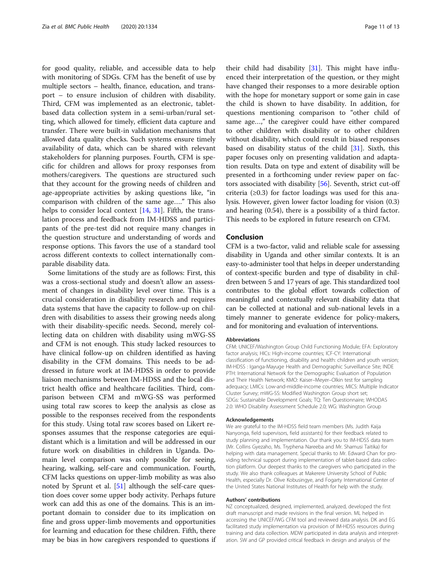for good quality, reliable, and accessible data to help with monitoring of SDGs. CFM has the benefit of use by multiple sectors – health, finance, education, and transport – to ensure inclusion of children with disability. Third, CFM was implemented as an electronic, tabletbased data collection system in a semi-urban/rural setting, which allowed for timely, efficient data capture and transfer. There were built-in validation mechanisms that allowed data quality checks. Such systems ensure timely availability of data, which can be shared with relevant stakeholders for planning purposes. Fourth, CFM is specific for children and allows for proxy responses from mothers/caregivers. The questions are structured such that they account for the growing needs of children and age-appropriate activities by asking questions like, "in comparison with children of the same age…." This also helps to consider local context [\[14,](#page-11-0) [31\]](#page-12-0). Fifth, the translation process and feedback from IM-HDSS and participants of the pre-test did not require many changes in the question structure and understanding of words and response options. This favors the use of a standard tool across different contexts to collect internationally comparable disability data.

Some limitations of the study are as follows: First, this was a cross-sectional study and doesn't allow an assessment of changes in disability level over time. This is a crucial consideration in disability research and requires data systems that have the capacity to follow-up on children with disabilities to assess their growing needs along with their disability-specific needs. Second, merely collecting data on children with disability using mWG-SS and CFM is not enough. This study lacked resources to have clinical follow-up on children identified as having disability in the CFM domains. This needs to be addressed in future work at IM-HDSS in order to provide liaison mechanisms between IM-HDSS and the local district health office and healthcare facilities. Third, comparison between CFM and mWG-SS was performed using total raw scores to keep the analysis as close as possible to the responses received from the respondents for this study. Using total raw scores based on Likert responses assumes that the response categories are equidistant which is a limitation and will be addressed in our future work on disabilities in children in Uganda. Domain level comparison was only possible for seeing, hearing, walking, self-care and communication. Fourth, CFM lacks questions on upper-limb mobility as was also noted by Sprunt et al. [[51\]](#page-12-0) although the self-care question does cover some upper body activity. Perhaps future work can add this as one of the domains. This is an important domain to consider due to its implication on fine and gross upper-limb movements and opportunities for learning and education for these children. Fifth, there may be bias in how caregivers responded to questions if

their child had disability [\[31](#page-12-0)]. This might have influenced their interpretation of the question, or they might have changed their responses to a more desirable option with the hope for monetary support or some gain in case the child is shown to have disability. In addition, for questions mentioning comparison to "other child of same age…," the caregiver could have either compared to other children with disability or to other children without disability, which could result in biased responses based on disability status of the child [[31\]](#page-12-0). Sixth, this paper focuses only on presenting validation and adaptation results. Data on type and extent of disability will be presented in a forthcoming under review paper on factors associated with disability [[56](#page-12-0)]. Seventh, strict cut-off criteria  $(\geq 0.3)$  for factor loadings was used for this analysis. However, given lower factor loading for vision (0.3) and hearing (0.54), there is a possibility of a third factor. This needs to be explored in future research on CFM.

## Conclusion

CFM is a two-factor, valid and reliable scale for assessing disability in Uganda and other similar contexts. It is an easy-to-administer tool that helps in deeper understanding of context-specific burden and type of disability in children between 5 and 17 years of age. This standardized tool contributes to the global effort towards collection of meaningful and contextually relevant disability data that can be collected at national and sub-national levels in a timely manner to generate evidence for policy-makers, and for monitoring and evaluation of interventions.

#### Abbreviations

CFM: UNICEF/Washington Group Child Functioning Module; EFA: Exploratory factor analysis; HICs: High-income countries; ICF-CY: International classification of functioning, disability and health: children and youth version; IM-HDSS : Iganga-Mayuge Health and Demographic Surveillance Site; INDE PTH: International Network for the Demographic Evaluation of Population and Their Health Network; KMO: Kaiser–Meyer–Olkin test for sampling adequacy; LMICs: Low-and-middle-income countries; MICS: Multiple Indicator Cluster Survey; mWG-SS: Modified Washington Group short set; SDGs: Sustainable Development Goals; TQ: Ten Questionnaire; WHODAS 2.0: WHO Disability Assessment Schedule 2.0; WG: Washington Group

#### Acknowledgements

We are grateful to the IM-HDSS field team members (Ms. Judith Kaija Nanyonga, field supervisors, field assistants) for their feedback related to study planning and implementation. Our thank you to IM-HDSS data team (Mr. Collins Gyezaho, Ms. Tryphena Nareeba and Mr. Shamusi Taitika) for helping with data management. Special thanks to Mr. Edward Chan for providing technical support during implementation of tablet-based data collection platform. Our deepest thanks to the caregivers who participated in the study. We also thank colleagues at Makerere University School of Public Health, especially Dr. Olive Kobusingye, and Fogarty International Center of the United States National Institutes of Health for help with the study.

#### Authors' contributions

NZ conceptualized, designed, implemented, analyzed, developed the first draft manuscript and made revisions in the final version. ML helped in accessing the UNICEF/WG CFM tool and reviewed data analysis. DK and EG facilitated study implementation via provision of IM-HDSS resources during training and data collection. MDW participated in data analysis and interpretation. SW and GP provided critical feedback in design and analysis of the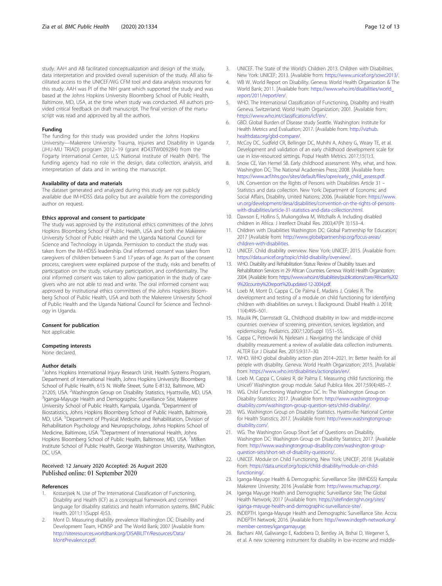<span id="page-11-0"></span>study. AAH and AB facilitated conceptualization and design of the study, data interpretation and provided overall supervision of the study. AB also facilitated access to the UNICEF/WG CFM tool and data analysis resources for this study. AAH was PI of the NIH grant which supported the study and was based at the Johns Hopkins University Bloomberg School of Public Health, Baltimore, MD, USA, at the time when study was conducted. All authors provided critical feedback on draft manuscript. The final version of the manuscript was read and approved by all the authors.

#### Funding

The funding for this study was provided under the Johns Hopkins University—Makerere University Trauma, Injuries and Disability in Uganda (JHU-MU TRIAD) program 2012–19 (grant #D43TW009284) from the Fogarty International Center, U.S. National Institute of Health (NIH). The funding agency had no role in the design, data collection, analysis, and interpretation of data and in writing the manuscript.

#### Availability of data and materials

The dataset generated and analyzed during this study are not publicly available due IM-HDSS data policy but are available from the corresponding author on request.

#### Ethics approval and consent to participate

The study was approved by the institutional ethics committees of the Johns Hopkins Bloomberg School of Public Health, USA and both the Makerere University School of Public Health and the Uganda National Council for Science and Technology in Uganda. Permission to conduct the study was taken from the IM-HDSS leadership. Oral informed consent was taken from caregivers of children between 5 and 17 years of age. As part of the consent process, caregivers were explained purpose of the study, risks and benefits of participation on the study, voluntary participation, and confidentiality. The oral informed consent was taken to allow participation in the study of caregivers who are not able to read and write. The oral informed consent was approved by institutional ethics committees of the Johns Hopkins Bloomberg School of Public Health, USA and both the Makerere University School of Public Health and the Uganda National Council for Science and Technology in Uganda.

# Consent for publication

Not applicable.

#### Competing interests

None declared.

#### Author details

<sup>1</sup>Johns Hopkins International Injury Research Unit, Health Systems Program, Department of International Health, Johns Hopkins University Bloomberg School of Public Health, 615 N. Wolfe Street, Suite E-8132, Baltimore, MD 21205, USA. <sup>2</sup>Washington Group on Disability Statistics, Hyattsville, MD, USA.<br><sup>3</sup>Iganga-Mayuga Health and Demographic Surveillance Site, Makerere <sup>3</sup> Iganga-Mayuge Health and Demographic Surveillance Site, Makerere University School of Public Health, Kampala, Uganda. <sup>4</sup>Department of Biostatistics, Johns Hopkins Bloomberg School of Public Health, Baltimore, MD, USA. <sup>5</sup>Department of Physical Medicine and Rehabilitation, Division of Rehabilitation Psychology and Neuropsychology, Johns Hopkins School of Medicine, Baltimore, USA. <sup>6</sup>Department of International Health, Johns Hopkins Bloomberg School of Public Health, Baltimore, MD, USA. <sup>7</sup>Milken Institute School of Public Health, George Washington University, Washington, DC, USA.

#### Received: 12 January 2020 Accepted: 26 August 2020 Published online: 01 September 2020

#### References

- 1. Kostanjsek N. Use of The International Classification of Functioning, Disability and Health (ICF) as a conceptual framework and common language for disability statistics and health information systems. BMC Public Health. 2011;11(Suppl 4):S3.
- 2. Mont D. Measuring disability prevalence Washington DC: Disability and Development Team, HDNSP and The World Bank; 2007 [Available from: [http://siteresources.worldbank.org/DISABILITY/Resources/Data/](http://siteresources.worldbank.org/DISABILITY/Resources/Data/MontPrevalence.pdf) [MontPrevalence.pdf](http://siteresources.worldbank.org/DISABILITY/Resources/Data/MontPrevalence.pdf).
- 3. UNICEF. The State of the World's Children 2013. Children with Disabilities. New York: UNICEF; 2013. [Available from: [https://www.unicef.org/sowc2013/.](https://www.unicef.org/sowc2013/)
- 4. WB W. World Report on Disability. Geneva: World Health Organization & The World Bank; 2011. [Available from: [https://www.who.int/disabilities/world\\_](https://www.who.int/disabilities/world_report/2011/report/en/) [report/2011/report/en/](https://www.who.int/disabilities/world_report/2011/report/en/).
- 5. WHO. The International Classification of Functioning, Disability and Health Geneva. Switzerland: World Health Organization; 2001. [Available from: [https://www.who.int/classifications/icf/en/.](https://www.who.int/classifications/icf/en/)
- 6. GBD. Global Burden of Disease study Seattle. Washington: Institute for Health Metrics and Evaluation; 2017. [Available from: [http://vizhub.](http://vizhub.healthdata.org/gbd-compare/) [healthdata.org/gbd-compare/.](http://vizhub.healthdata.org/gbd-compare/)
- 7. McCoy DC, Sudfeld CR, Bellinger DC, Muhihi A, Ashery G, Weary TE, et al. Development and validation of an early childhood development scale for use in low-resourced settings. Popul Health Metrics. 2017;15(1):3.
- 8. Snow CE, Van Hemel SB. Early childhood assessment: Why, what, and how. Washington DC: The National Academies Press; 2008. [Available from: [https://www.acf.hhs.gov/sites/default/files/opre/early\\_child\\_assess.pdf](https://www.acf.hhs.gov/sites/default/files/opre/early_child_assess.pdf).
- 9. UN. Convention on the Rights of Persons with Disabilities Article 31 Statistics and data collection. New York: Department of Economic and Social Affairs, Disability, United Nations; 2006. [Available from: [https://www.](https://www.un.org/development/desa/disabilities/convention-on-the-rights-of-persons-with-disabilities/article-31-statistics-and-data-collection.html) [un.org/development/desa/disabilities/convention-on-the-rights-of-persons](https://www.un.org/development/desa/disabilities/convention-on-the-rights-of-persons-with-disabilities/article-31-statistics-and-data-collection.html)[with-disabilities/article-31-statistics-and-data-collection.html.](https://www.un.org/development/desa/disabilities/convention-on-the-rights-of-persons-with-disabilities/article-31-statistics-and-data-collection.html)
- 10. Dawson E, Hollins S, Mukongolwa M, Witchalls A. Including disabled children in Africa. J Intellect Disabil Res. 2003;47(Pt 3):153–4.
- 11. Children with Disabilities Washington DC: Global Partnership for Education; 2017 [Available from: [http://www.globalpartnership.org/focus-areas/](http://www.globalpartnership.org/focus-areas/children-with-disabilities) [children-with-disabilities.](http://www.globalpartnership.org/focus-areas/children-with-disabilities)
- 12. UNICEF. Child disability overview. New York: UNICEF; 2015. [Available from: [https://data.unicef.org/topic/child-disability/overview/.](https://data.unicef.org/topic/child-disability/overview/)
- 13. WHO. Disability and Rehabilitation Status: Review of Disability Issues and Rehabilitation Services in 29 African Countries. Geneva: World Health Organization; 2004. [Available from: [https://www.who.int/disabilities/publications/care/African%202](https://www.who.int/disabilities/publications/care/African%2029%20country%20report%20updated-12-2004.pdf) [9%20country%20report%20updated-12-2004.pdf](https://www.who.int/disabilities/publications/care/African%2029%20country%20report%20updated-12-2004.pdf).
- 14. Loeb M, Mont D, Cappa C, De Palma E, Madans J, Crialesi R. The development and testing of a module on child functioning for identifying children with disabilities on surveys. I: Background. Disabil Health J. 2018; 11(4):495–501.
- 15. Maulik PK, Darmstadt GL. Childhood disability in low- and middle-income countries: overview of screening, prevention, services, legislation, and epidemiology. Pediatrics. 2007;120(Suppl 1):S1–55.
- 16. Cappa C, Petrowski N, Njelesani J. Navigating the landscape of child disability measurement: a review of available data collection instruments. ALTER Eur J Disabil Res. 2015;9:317–30.
- 17. WHO. WHO global disability action plan 2014–2021. In: Better health for all people with disability. Geneva: World Health Organization; 2015. [Available from: [https://www.who.int/disabilities/actionplan/en/.](https://www.who.int/disabilities/actionplan/en/)
- 18. Loeb M, Cappa C, Crialesi R, de Palma E. Measuring child functioning: the Unicef/ Washington group module. Salud Publica Mex. 2017;59(4):485–7.
- 19. WG. Child Functioning Washington DC. In: The Washington Group on Disability Statistics; 2017. [Available from: [http://www.washingtongroup](http://www.washingtongroup-disability.com/washington-group-question-sets/child-disability/)[disability.com/washington-group-question-sets/child-disability/.](http://www.washingtongroup-disability.com/washington-group-question-sets/child-disability/)
- 20. WG. Washington Group on Disability Statistics. Hyattsville: National Center for Health Statistics; 2017. [Available from: [http://www.washingtongroup](http://www.washingtongroup-disability.com/)[disability.com/.](http://www.washingtongroup-disability.com/)
- 21. WG. The Washington Group Short Set of Questions on Disability. Washington DC: Washington Group on Disability Statistics; 2017. [Available from: [http://www.washingtongroup-disability.com/washington-group](http://www.washingtongroup-disability.com/washington-group-question-sets/short-set-of-disability-questions/)[question-sets/short-set-of-disability-questions/.](http://www.washingtongroup-disability.com/washington-group-question-sets/short-set-of-disability-questions/)
- 22. UNICEF. Module on Child Functioning. New York: UNICEF; 2018. [Available from: [https://data.unicef.org/topic/child-disability/module-on-child](https://data.unicef.org/topic/child-disability/module-on-child-functioning/)[functioning/.](https://data.unicef.org/topic/child-disability/module-on-child-functioning/)
- 23. Iganga-Mayuge Health & Demographic Surveillance Site (IMHDSS) Kampala: Makerere University; 2016 [Available from: <http://www.muchap.org/>.
- 24. Iganga Mayuge Health and Demographic Surveillance Site: The Global Health Network; 2017 [Available from: [https://sitefinder.tghn.org/sites/](https://sitefinder.tghn.org/sites/iganga-mayuge-health-and-demographic-surveillance-site/) [iganga-mayuge-health-and-demographic-surveillance-site/](https://sitefinder.tghn.org/sites/iganga-mayuge-health-and-demographic-surveillance-site/).
- 25. INDEPTH. Iganga-Mayuge Health and Demographic Surveillance Site. Accra: INDEPTH Network; 2016. [Available from: [http://www.indepth-network.org/](http://www.indepth-network.org/member-centres/igangamayuge) [member-centres/igangamayuge.](http://www.indepth-network.org/member-centres/igangamayuge)
- 26. Bachani AM, Galiwango E, Kadobera D, Bentley JA, Bishai D, Wegener S, et al. A new screening instrument for disability in low-income and middle-